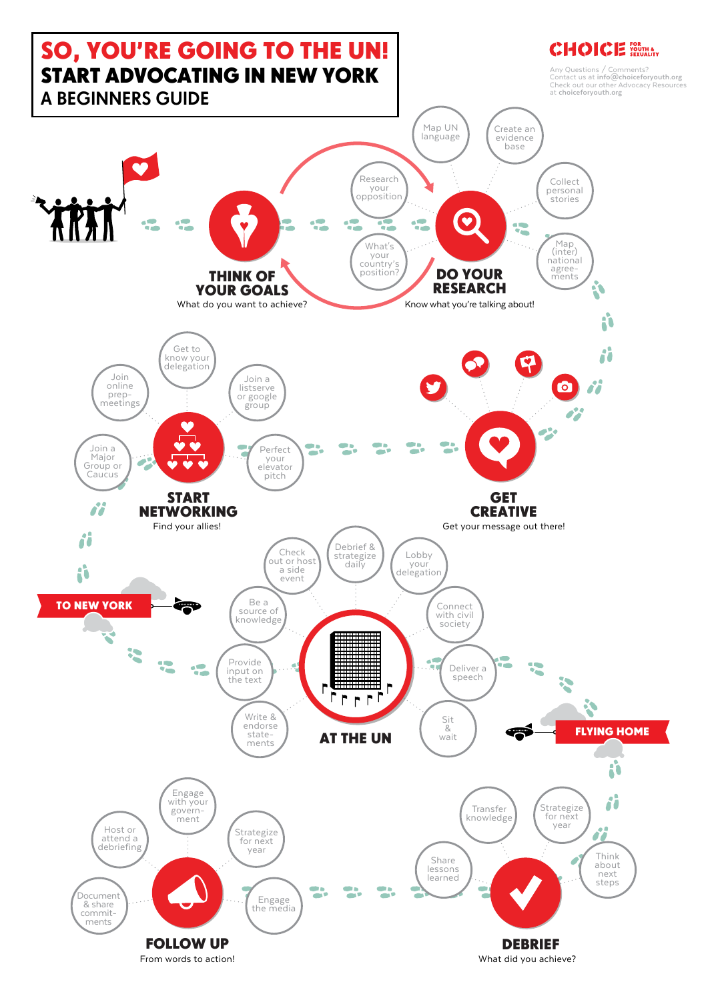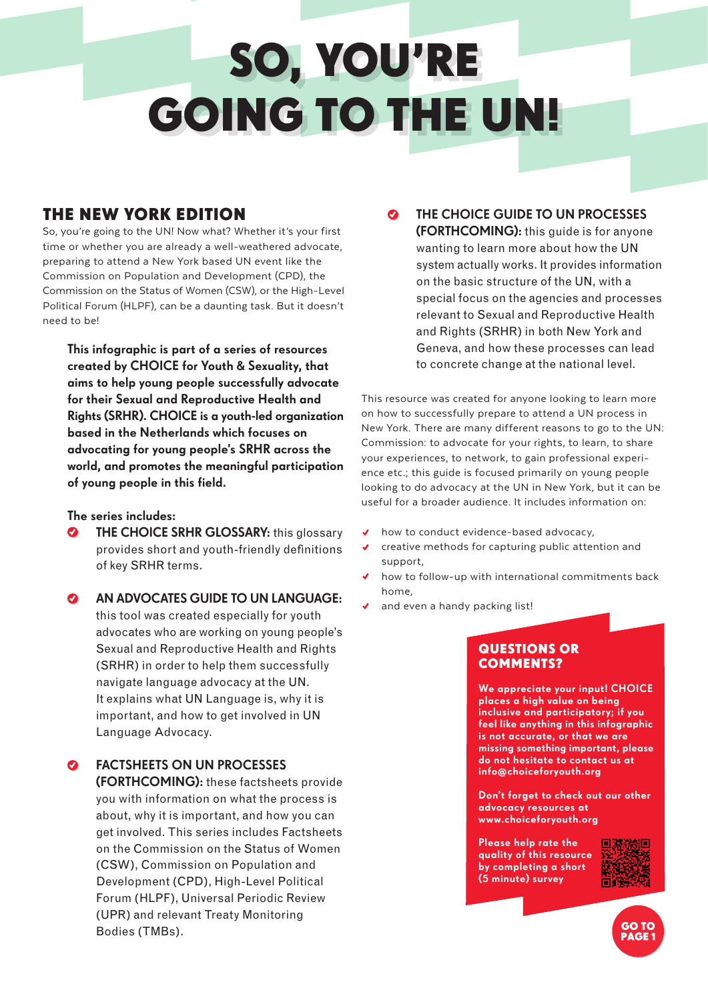# <span id="page-1-0"></span>SO, YOU'RE GOING TO THE UN!

## THE NEW YORK EDITION

So, you're going to the UN! Now what? Whether it's your first time or whether you are already a well-weathered advocate, preparing to attend a New York based UN event like the Commission on Population and Development (CPD), the Commission on the Status of Women (CSW), or the High-Level Political Forum (HLPF), can be a daunting task. But it doesn't need to be!

This infographic is part of a series of resources created by CHOICE for Youth & Sexuality, that aims to help young people successfully advocate for their Sexual and Reproductive Health and Rights (SRHR). CHOICE is a youth-led organization based in the Netherlands which focuses on advocating for young people's SRHR across the world, and promotes the meaningful participation of young people in this field.

## The series includes:

THE CHOICE SRHR GLOSSARY: this glossary  $\bullet$ provides short and youth-friendly definitions of key SRHR terms.

AN ADVOCATES GUIDE TO UN LANGUAGE:  $\bullet$ this tool was created especially for youth advocates who are working on young people's Sexual and Reproductive Health and Rights (SRHR) in order to help them successfully navigate language advocacy at the UN. It explains what UN Language is, why it is important, and how to get involved in UN Language Advocacy.

FACTSHEETS ON UN PROCESSES  $\bullet$ (FORTHCOMING): these factsheets provide you with information on what the process is about, why it is important, and how you can get involved. This series includes Factsheets on the Commission on the Status of Women (CSW), Commission on Population and Development (CPD), High-Level Political Forum (HLPF), Universal Periodic Review (UPR) and relevant Treaty Monitoring Bodies (TMBs).

THE CHOICE GUIDE TO UN PROCESSES  $\bullet$ (FORTHCOMING): this guide is for anyone wanting to learn more about how the UN system actually works. It provides information on the basic structure of the UN, with a special focus on the agencies and processes relevant to Sexual and Reproductive Health and Rights (SRHR) in both New York and Geneva, and how these processes can lead to concrete change at the national level.

This resource was created for anyone looking to learn more on how to successfully prepare to attend a UN process in New York. There are many different reasons to go to the UN: Commission: to advocate for your rights, to learn, to share your experiences, to network, to gain professional experience etc.; this guide is focused primarily on young people looking to do advocacy at the UN in New York, but it can be useful for a broader audience. It includes information on:

- how to conduct evidence-based advocacy,
- creative methods for capturing public attention and support,
- how to follow-up with international commitments back home,
- and even a handy packing list!

## QUESTIONS OR COMMENTS?

We appreciate your input! CHOICE places a high value on being inclusive and participatory; if you feel like anything in this infographic is not accurate, or that we are missing something important, please do not hesitate to contact us at info@choiceforyouth.org

Don't forget to check out our other advocacy resources at www.choiceforyouth.org

Please help rate the quality of this resource by completing a short (5 minute) survey



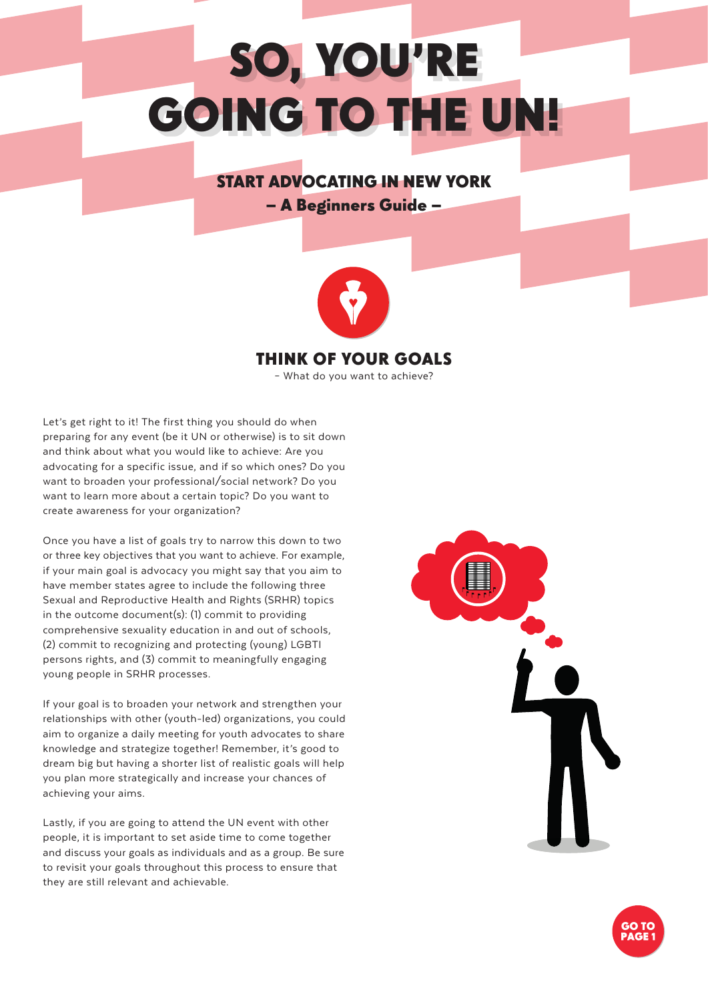# SO, YOU'RE GOING TO THE UN!

## START ADVOCATING IN NEW YORK

– A Beginners Guide –



## THINK OF YOUR GOALS

– What do you want to achieve?

Let's get right to it! The first thing you should do when preparing for any event (be it UN or otherwise) is to sit down and think about what you would like to achieve: Are you advocating for a specific issue, and if so which ones? Do you want to broaden your professional/social network? Do you want to learn more about a certain topic? Do you want to create awareness for your organization?

Once you have a list of goals try to narrow this down to two or three key objectives that you want to achieve. For example, if your main goal is advocacy you might say that you aim to have member states agree to include the following three Sexual and Reproductive Health and Rights (SRHR) topics in the outcome document(s): (1) commit to providing comprehensive sexuality education in and out of schools, (2) commit to recognizing and protecting (young) LGBTI persons rights, and (3) commit to meaningfully engaging young people in SRHR processes.

If your goal is to broaden your network and strengthen your relationships with other (youth-led) organizations, you could aim to organize a daily meeting for youth advocates to share knowledge and strategize together! Remember, it's good to dream big but having a shorter list of realistic goals will help you plan more strategically and increase your chances of achieving your aims.

Lastly, if you are going to attend the UN event with other people, it is important to set aside time to come together and discuss your goals as individuals and as a group. Be sure to revisit your goals throughout this process to ensure that they are still relevant and achievable.



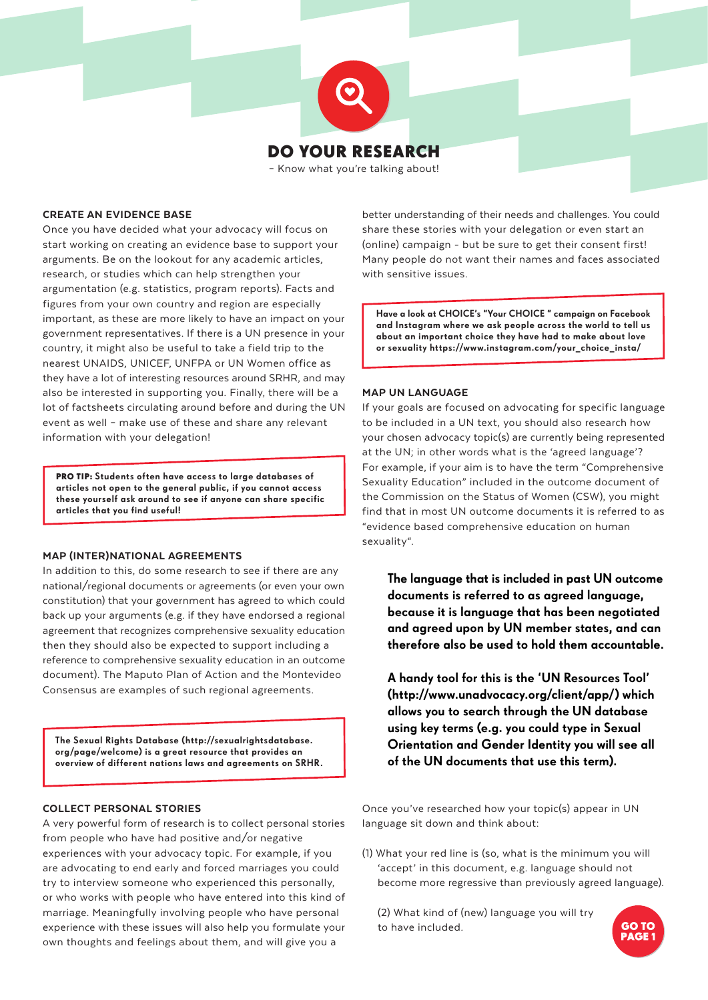

DO YOUR RESEARCH

– Know what you're talking about!

## CREATE AN EVIDENCE BASE

Once you have decided what your advocacy will focus on start working on creating an evidence base to support your arguments. Be on the lookout for any academic articles, research, or studies which can help strengthen your argumentation (e.g. statistics, program reports). Facts and figures from your own country and region are especially important, as these are more likely to have an impact on your government representatives. If there is a UN presence in your country, it might also be useful to take a field trip to the nearest UNAIDS, UNICEF, UNFPA or UN Women office as they have a lot of interesting resources around SRHR, and may also be interested in supporting you. Finally, there will be a lot of factsheets circulating around before and during the UN event as well – make use of these and share any relevant information with your delegation!

PRO TIP: Students often have access to large databases of articles not open to the general public, if you cannot access these yourself ask around to see if anyone can share specific articles that you find useful!

#### MAP (INTER)NATIONAL AGREEMENTS

In addition to this, do some research to see if there are any national/regional documents or agreements (or even your own constitution) that your government has agreed to which could back up your arguments (e.g. if they have endorsed a regional agreement that recognizes comprehensive sexuality education then they should also be expected to support including a reference to comprehensive sexuality education in an outcome document). The Maputo Plan of Action and the Montevideo Consensus are examples of such regional agreements.

[The Sexual Rights Database \(http://sexualrightsdatabase.](http://sexualrightsdatabase.org/page/welcome) org/page/welcome) is a great resource that provides an overview of different nations laws and agreements on SRHR.

#### COLLECT PERSONAL STORIES

A very powerful form of research is to collect personal stories from people who have had positive and/or negative experiences with your advocacy topic. For example, if you are advocating to end early and forced marriages you could try to interview someone who experienced this personally, or who works with people who have entered into this kind of marriage. Meaningfully involving people who have personal experience with these issues will also help you formulate your own thoughts and feelings about them, and will give you a

better understanding of their needs and challenges. You could share these stories with your delegation or even start an (online) campaign - but be sure to get their consent first! Many people do not want their names and faces associated with sensitive issues.

Have a look at CHOICE's "Your CHOICE " campaign on Facebook and Instagram where we ask people across the world to tell us about an important choice they have had to make about love or sexualit[y https://www.instagram.com/your\\_choice\\_insta/](https://www.instagram.com/your_choice_insta/)

#### MAP UN LANGUAGE

If your goals are focused on advocating for specific language to be included in a UN text, you should also research how your chosen advocacy topic(s) are currently being represented at the UN; in other words what is the 'agreed language'? For example, if your aim is to have the term "Comprehensive Sexuality Education" included in the outcome document of the Commission on the Status of Women (CSW), you might find that in most UN outcome documents it is referred to as "evidence based comprehensive education on human sexuality".

The language that is included in past UN outcome documents is referred to as agreed language, because it is language that has been negotiated and agreed upon by UN member states, and can therefore also be used to hold them accountable.

A handy tool for this is the 'UN Resources Tool' [\(http://www.unadvocacy.org/client/app/\)](http://www.unadvocacy.org/client/app/) which allows you to search through the UN database using key terms (e.g. you could type in Sexual Orientation and Gender Identity you will see all of the UN documents that use this term).

Once you've researched how your topic(s) appear in UN language sit down and think about:

(1) What your red line is (so, what is the minimum you will 'accept' in this document, e.g. language should not become more regressive than previously agreed language).

(2) What kind of (new) language you will try to have included.

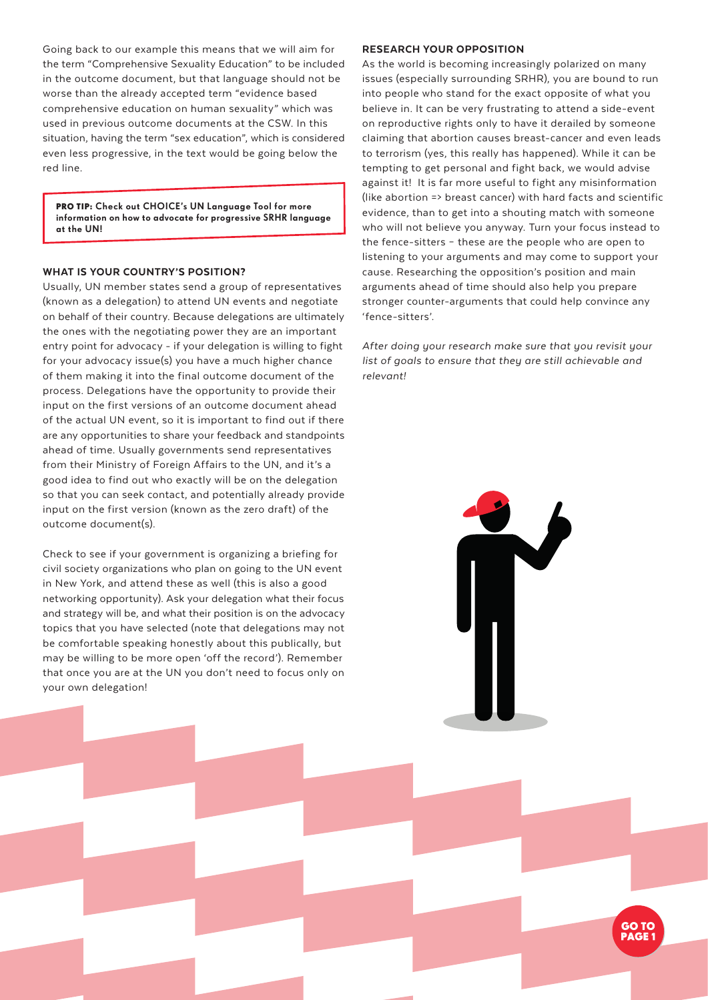Going back to our example this means that we will aim for the term "Comprehensive Sexuality Education" to be included in the outcome document, but that language should not be worse than the already accepted term "evidence based comprehensive education on human sexuality" which was used in previous outcome documents at the CSW. In this situation, having the term "sex education", which is considered even less progressive, in the text would be going below the red line.

PRO TIP: Check out CHOICE's UN Language Tool for more information on how to advocate for progressive SRHR language at the UN!

### WHAT IS YOUR COUNTRY'S POSITION?

Usually, UN member states send a group of representatives (known as a delegation) to attend UN events and negotiate on behalf of their country. Because delegations are ultimately the ones with the negotiating power they are an important entry point for advocacy - if your delegation is willing to fight for your advocacy issue(s) you have a much higher chance of them making it into the final outcome document of the process. Delegations have the opportunity to provide their input on the first versions of an outcome document ahead of the actual UN event, so it is important to find out if there are any opportunities to share your feedback and standpoints ahead of time. Usually governments send representatives from their Ministry of Foreign Affairs to the UN, and it's a good idea to find out who exactly will be on the delegation so that you can seek contact, and potentially already provide input on the first version (known as the zero draft) of the outcome document(s).

Check to see if your government is organizing a briefing for civil society organizations who plan on going to the UN event in New York, and attend these as well (this is also a good networking opportunity). Ask your delegation what their focus and strategy will be, and what their position is on the advocacy topics that you have selected (note that delegations may not be comfortable speaking honestly about this publically, but may be willing to be more open 'off the record'). Remember that once you are at the UN you don't need to focus only on your own delegation!

#### RESEARCH YOUR OPPOSITION

As the world is becoming increasingly polarized on many issues (especially surrounding SRHR), you are bound to run into people who stand for the exact opposite of what you believe in. It can be very frustrating to attend a side-event on reproductive rights only to have it derailed by someone claiming that abortion causes breast-cancer and even leads to terrorism (yes, this really has happened). While it can be tempting to get personal and fight back, we would advise against it! It is far more useful to fight any misinformation (like abortion => breast cancer) with hard facts and scientific evidence, than to get into a shouting match with someone who will not believe you anyway. Turn your focus instead to the fence-sitters – these are the people who are open to listening to your arguments and may come to support your cause. Researching the opposition's position and main arguments ahead of time should also help you prepare stronger counter-arguments that could help convince any 'fence-sitters'.

*After doing your research make sure that you revisit your list of goals to ensure that they are still achievable and relevant!* 



GO TO<br>PAGE 1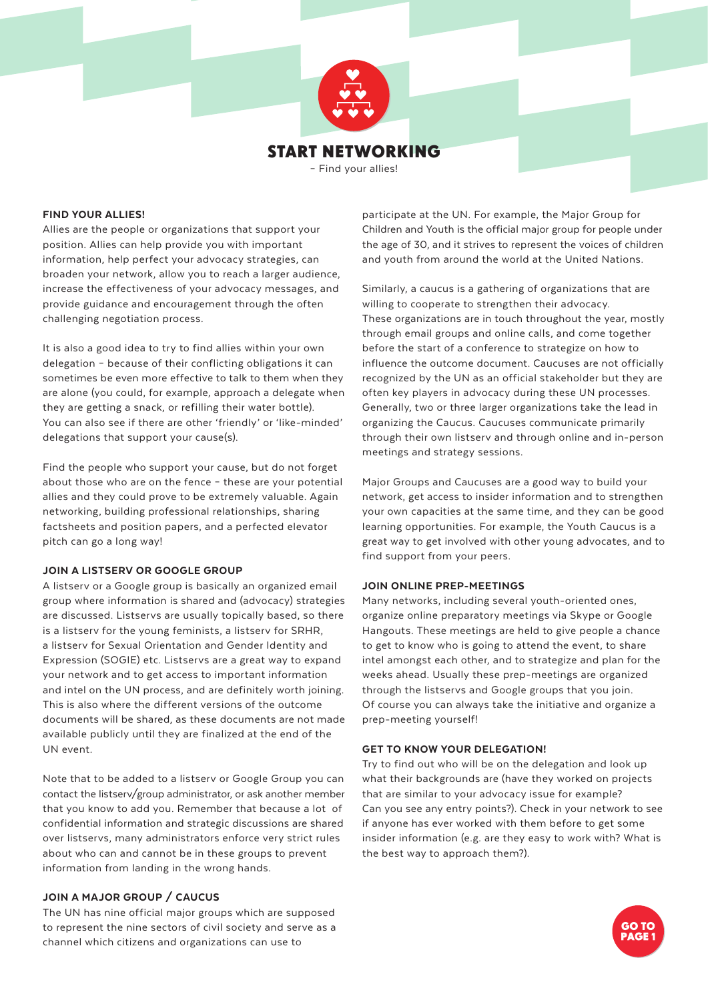

START NETWORKING

– Find your allies!

## FIND YOUR ALLIES!

Allies are the people or organizations that support your position. Allies can help provide you with important information, help perfect your advocacy strategies, can broaden your network, allow you to reach a larger audience, increase the effectiveness of your advocacy messages, and provide guidance and encouragement through the often challenging negotiation process.

It is also a good idea to try to find allies within your own delegation – because of their conflicting obligations it can sometimes be even more effective to talk to them when they are alone (you could, for example, approach a delegate when they are getting a snack, or refilling their water bottle). You can also see if there are other 'friendly' or 'like-minded' delegations that support your cause(s).

Find the people who support your cause, but do not forget about those who are on the fence – these are your potential allies and they could prove to be extremely valuable. Again networking, building professional relationships, sharing factsheets and position papers, and a perfected elevator pitch can go a long way!

### JOIN A LISTSERV OR GOOGLE GROUP

A listserv or a Google group is basically an organized email group where information is shared and (advocacy) strategies are discussed. Listservs are usually topically based, so there is a listserv for the young feminists, a listserv for SRHR, a listserv for Sexual Orientation and Gender Identity and Expression (SOGIE) etc. Listservs are a great way to expand your network and to get access to important information and intel on the UN process, and are definitely worth joining. This is also where the different versions of the outcome documents will be shared, as these documents are not made available publicly until they are finalized at the end of the UN event.

Note that to be added to a listserv or Google Group you can contact the listserv/group administrator, or ask another member that you know to add you. Remember that because a lot of confidential information and strategic discussions are shared over listservs, many administrators enforce very strict rules about who can and cannot be in these groups to prevent information from landing in the wrong hands.

## JOIN A MAJOR GROUP / CAUCUS

The UN has nine official major groups which are supposed to represent the nine sectors of civil society and serve as a channel which citizens and organizations can use to

participate at the UN. For example, the Major Group for Children and Youth is the official major group for people under the age of 30, and it strives to represent the voices of children and youth from around the world at the United Nations.

Similarly, a caucus is a gathering of organizations that are willing to cooperate to strengthen their advocacy. These organizations are in touch throughout the year, mostly through email groups and online calls, and come together before the start of a conference to strategize on how to influence the outcome document. Caucuses are not officially recognized by the UN as an official stakeholder but they are often key players in advocacy during these UN processes. Generally, two or three larger organizations take the lead in organizing the Caucus. Caucuses communicate primarily through their own listserv and through online and in-person meetings and strategy sessions.

Major Groups and Caucuses are a good way to build your network, get access to insider information and to strengthen your own capacities at the same time, and they can be good learning opportunities. For example, the Youth Caucus is a great way to get involved with other young advocates, and to find support from your peers.

#### JOIN ONLINE PREP-MEETINGS

Many networks, including several youth-oriented ones, organize online preparatory meetings via Skype or Google Hangouts. These meetings are held to give people a chance to get to know who is going to attend the event, to share intel amongst each other, and to strategize and plan for the weeks ahead. Usually these prep-meetings are organized through the listservs and Google groups that you join. Of course you can always take the initiative and organize a prep-meeting yourself!

## GET TO KNOW YOUR DELEGATION!

Try to find out who will be on the delegation and look up what their backgrounds are (have they worked on projects that are similar to your advocacy issue for example? Can you see any entry points?). Check in your network to see if anyone has ever worked with them before to get some insider information (e.g. are they easy to work with? What is the best way to approach them?).

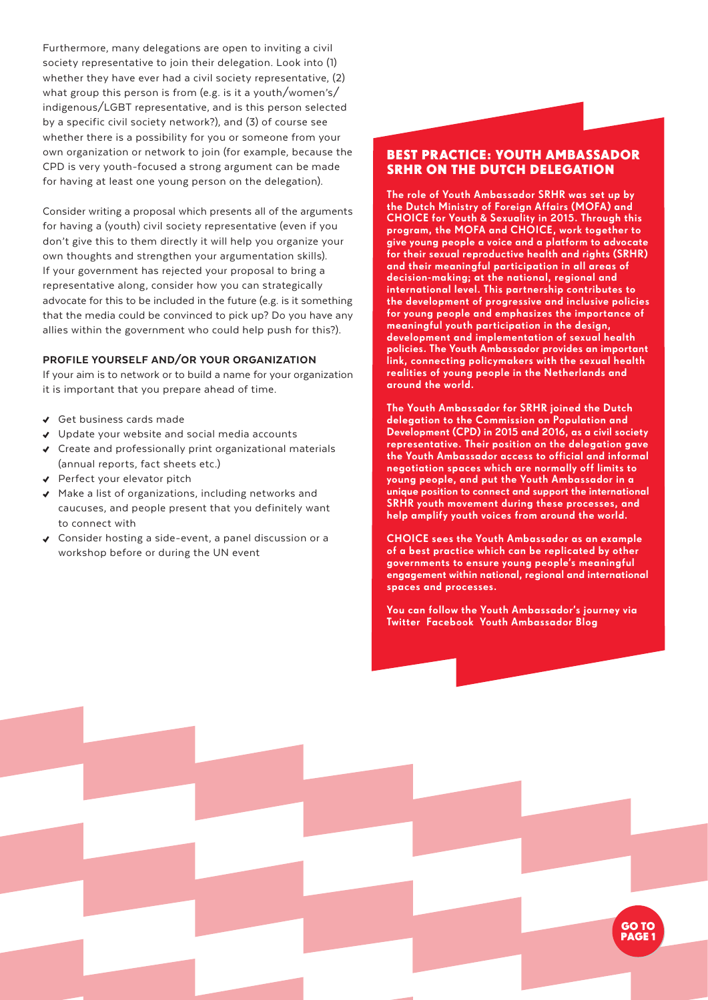Furthermore, many delegations are open to inviting a civil society representative to join their delegation. Look into (1) whether they have ever had a civil society representative, (2) what group this person is from (e.g. is it a youth/women's/ indigenous/LGBT representative, and is this person selected by a specific civil society network?), and (3) of course see whether there is a possibility for you or someone from your own organization or network to join (for example, because the CPD is very youth-focused a strong argument can be made for having at least one young person on the delegation).

Consider writing a proposal which presents all of the arguments for having a (youth) civil society representative (even if you don't give this to them directly it will help you organize your own thoughts and strengthen your argumentation skills). If your government has rejected your proposal to bring a representative along, consider how you can strategically advocate for this to be included in the future (e.g. is it something that the media could be convinced to pick up? Do you have any allies within the government who could help push for this?).

#### PROFILE YOURSELF AND/OR YOUR ORGANIZATION

If your aim is to network or to build a name for your organization it is important that you prepare ahead of time.

- ◆ Get business cards made
- Update your website and social media accounts
- Create and professionally print organizational materials (annual reports, fact sheets etc.)
- ◆ Perfect your elevator pitch
- $\vee$  Make a list of organizations, including networks and caucuses, and people present that you definitely want to connect with
- ◆ Consider hosting a side-event, a panel discussion or a workshop before or during the UN event

## BEST PRACTICE: YOUTH AMBASSADOR SRHR ON THE DUTCH DELEGATION

The role of Youth Ambassador SRHR was set up by the Dutch Ministry of Foreign Affairs (MOFA) and CHOICE for Youth & Sexuality in 2015. Through this program, the MOFA and CHOICE, work together to give young people a voice and a platform to advocate for their sexual reproductive health and rights (SRHR) and their meaningful participation in all areas of decision-making; at the national, regional and international level. This partnership contributes to the development of progressive and inclusive policies for young people and emphasizes the importance of meaningful youth participation in the design, development and implementation of sexual health policies. The Youth Ambassador provides an important link, connecting policymakers with the sexual health realities of young people in the Netherlands and around the world.

The Youth Ambassador for SRHR joined the Dutch delegation to the Commission on Population and Development (CPD) in 2015 and 2016, as a civil society representative. Their position on the delegation gave the Youth Ambassador access to official and informal negotiation spaces which are normally off limits to young people, and put the Youth Ambassador in a unique position to connect and support the international SRHR youth movement during these processes, and help amplify youth voices from around the world.

CHOICE sees the Youth Ambassador as an example of a best practice which can be replicated by other governments to ensure young people's meaningful engagement within national, regional and international spaces and processes.

You can follow the Youth Ambassador's journey via [Twitter](https://twitter.com/youthsrhr) [Facebook](https://www.facebook.com/YouthSRHR/) [Youth Ambassador Blog](https://youthambassadorsrhr.wordpress.com/)

GO TO<br>PAGE 1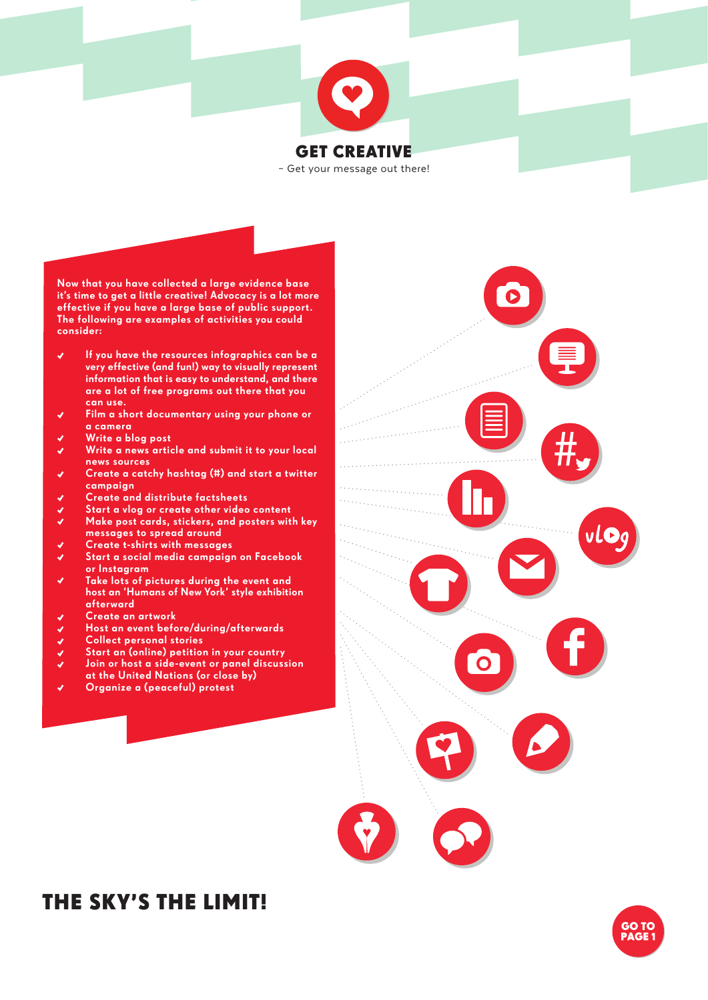

– Get your message out there!

Now that you have collected a large evidence base it's time to get a little creative! Advocacy is a lot more effective if you have a large base of public support. The following are examples of activities you could consider:

- If you have the resources infographics can be a very effective (and fun!) way to visually represent information that is easy to understand, and there are a lot of free programs out there that you can use.
- Film a short documentary using your phone or  $\mathcal{L}$ a camera
- Write a blog post  $\mathbf{v}$
- Write a news article and submit it to your local  $\checkmark$ news sources
- Create a catchy hashtag (#) and start a twitter  $\mathbf{v}$ campaign
- Create and distribute factsheets  $\checkmark$
- Start a vlog or create other video content
- $\mathcal{L}$ Make post cards, stickers, and posters with key messages to spread around
- Create t-shirts with messages  $\checkmark$
- $\checkmark$ Start a social media campaign on Facebook or Instagram
- $\checkmark$ Take lots of pictures during the event and host an 'Humans of New York' style exhibition afterward
- Create an artwork
- $\frac{1}{2}$ Host an event before/during/afterwards
- Collect personal stories  $\checkmark$
- Start an (online) petition in your country  $\checkmark$
- Join or host a side-event or panel discussion Ü at the United Nations (or close by)
- Organize a (peaceful) protest

## THE SKY'S THE LIMIT!



GO TO<br>PAGE 1

 $\bullet$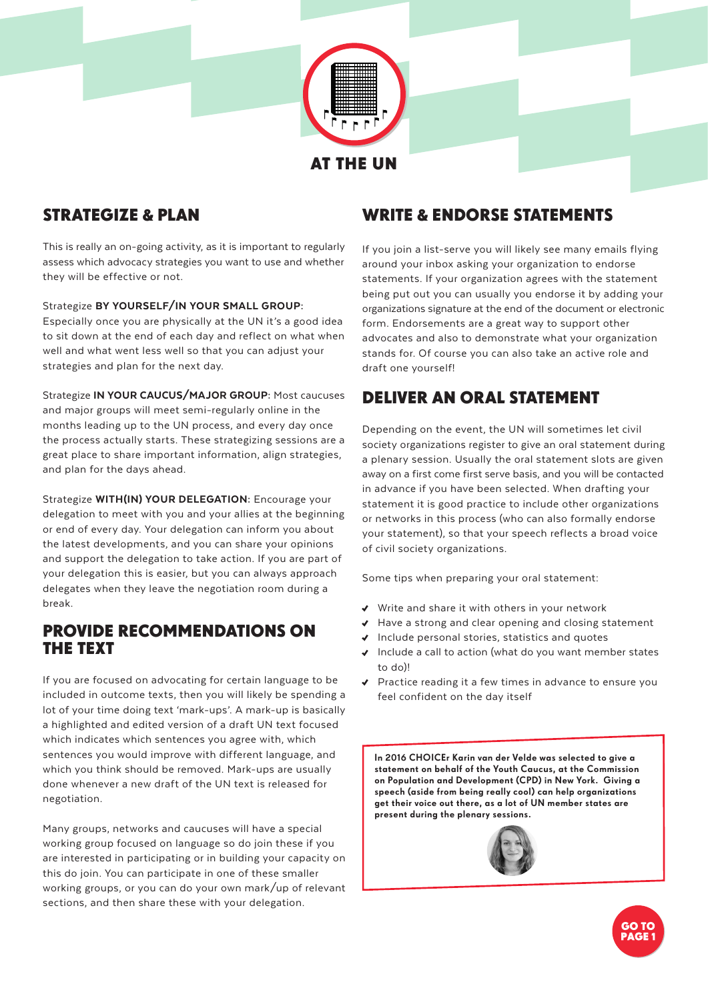

## STRATEGIZE & PLAN

This is really an on-going activity, as it is important to regularly assess which advocacy strategies you want to use and whether they will be effective or not.

## Strategize BY YOURSELF/IN YOUR SMALL GROUP:

Especially once you are physically at the UN it's a good idea to sit down at the end of each day and reflect on what when well and what went less well so that you can adjust your strategies and plan for the next day.

Strategize IN YOUR CAUCUS/MAJOR GROUP: Most caucuses and major groups will meet semi-regularly online in the months leading up to the UN process, and every day once the process actually starts. These strategizing sessions are a great place to share important information, align strategies, and plan for the days ahead.

Strategize WITH(IN) YOUR DELEGATION: Encourage your delegation to meet with you and your allies at the beginning or end of every day. Your delegation can inform you about the latest developments, and you can share your opinions and support the delegation to take action. If you are part of your delegation this is easier, but you can always approach delegates when they leave the negotiation room during a break.

## PROVIDE RECOMMENDATIONS ON THE TEXT

If you are focused on advocating for certain language to be included in outcome texts, then you will likely be spending a lot of your time doing text 'mark-ups'. A mark-up is basically a highlighted and edited version of a draft UN text focused which indicates which sentences you agree with, which sentences you would improve with different language, and which you think should be removed. Mark-ups are usually done whenever a new draft of the UN text is released for negotiation.

Many groups, networks and caucuses will have a special working group focused on language so do join these if you are interested in participating or in building your capacity on this do join. You can participate in one of these smaller working groups, or you can do your own mark/up of relevant sections, and then share these with your delegation.

## WRITE & ENDORSE STATEMENTS

If you join a list-serve you will likely see many emails flying around your inbox asking your organization to endorse statements. If your organization agrees with the statement being put out you can usually you endorse it by adding your organizations signature at the end of the document or electronic form. Endorsements are a great way to support other advocates and also to demonstrate what your organization stands for. Of course you can also take an active role and draft one yourself!

## DELIVER AN ORAL STATEMENT

Depending on the event, the UN will sometimes let civil society organizations register to give an oral statement during a plenary session. Usually the oral statement slots are given away on a first come first serve basis, and you will be contacted in advance if you have been selected. When drafting your statement it is good practice to include other organizations or networks in this process (who can also formally endorse your statement), so that your speech reflects a broad voice of civil society organizations.

Some tips when preparing your oral statement:

- ◆ Write and share it with others in your network
- ◆ Have a strong and clear opening and closing statement
- $\blacktriangleright$  Include personal stories, statistics and quotes
- ◆ Include a call to action (what do you want member states to do)!
- ◆ Practice reading it a few times in advance to ensure you feel confident on the day itself

In 2016 CHOICEr Karin van der Velde was selected to give a statement on behalf of the Youth Caucus, at the Commission on Population and Development (CPD) in New York. Giving a speech (aside from being really cool) can help organizations get their voice out there, as a lot of UN member states are present during the plenary sessions.



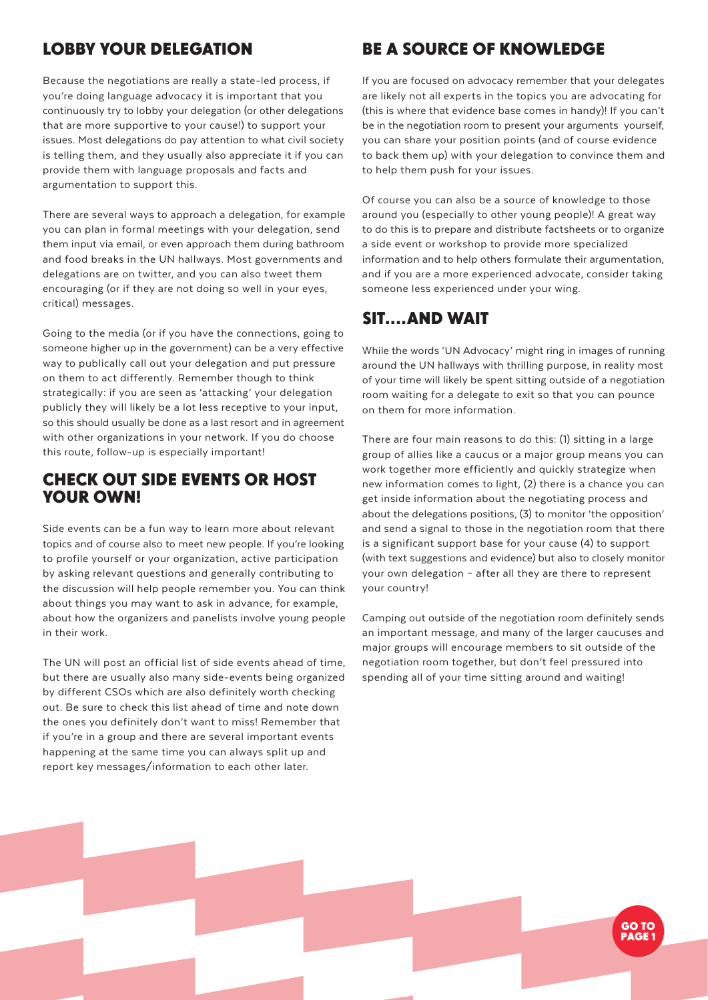## LOBBY YOUR DELEGATION

Because the negotiations are really a state-led process, if you're doing language advocacy it is important that you continuously try to lobby your delegation (or other delegations that are more supportive to your cause!) to support your issues. Most delegations do pay attention to what civil society is telling them, and they usually also appreciate it if you can provide them with language proposals and facts and argumentation to support this.

There are several ways to approach a delegation, for example you can plan in formal meetings with your delegation, send them input via email, or even approach them during bathroom and food breaks in the UN hallways. Most governments and delegations are on twitter, and you can also tweet them encouraging (or if they are not doing so well in your eyes, critical) messages.

Going to the media (or if you have the connections, going to someone higher up in the government) can be a very effective way to publically call out your delegation and put pressure on them to act differently. Remember though to think strategically: if you are seen as 'attacking' your delegation publicly they will likely be a lot less receptive to your input, so this should usually be done as a last resort and in agreement with other organizations in your network. If you do choose this route, follow-up is especially important!

## CHECK OUT SIDE EVENTS OR HOST YOUR OWN!

Side events can be a fun way to learn more about relevant topics and of course also to meet new people. If you're looking to profile yourself or your organization, active participation by asking relevant questions and generally contributing to the discussion will help people remember you. You can think about things you may want to ask in advance, for example, about how the organizers and panelists involve young people in their work.

The UN will post an official list of side events ahead of time, but there are usually also many side-events being organized by different CSOs which are also definitely worth checking out. Be sure to check this list ahead of time and note down the ones you definitely don't want to miss! Remember that if you're in a group and there are several important events happening at the same time you can always split up and report key messages/information to each other later.

## BE A SOURCE OF KNOWLEDGE

If you are focused on advocacy remember that your delegates are likely not all experts in the topics you are advocating for (this is where that evidence base comes in handy)! If you can't be in the negotiation room to present your arguments yourself, you can share your position points (and of course evidence to back them up) with your delegation to convince them and to help them push for your issues.

Of course you can also be a source of knowledge to those around you (especially to other young people)! A great way to do this is to prepare and distribute factsheets or to organize a side event or workshop to provide more specialized information and to help others formulate their argumentation, and if you are a more experienced advocate, consider taking someone less experienced under your wing.

## SIT....AND WAIT

While the words 'UN Advocacy' might ring in images of running around the UN hallways with thrilling purpose, in reality most of your time will likely be spent sitting outside of a negotiation room waiting for a delegate to exit so that you can pounce on them for more information.

There are four main reasons to do this: (1) sitting in a large group of allies like a caucus or a major group means you can work together more efficiently and quickly strategize when new information comes to light, (2) there is a chance you can get inside information about the negotiating process and about the delegations positions, (3) to monitor 'the opposition' and send a signal to those in the negotiation room that there is a significant support base for your cause (4) to support (with text suggestions and evidence) but also to closely monitor your own delegation – after all they are there to represent your country!

Camping out outside of the negotiation room definitely sends an important message, and many of the larger caucuses and major groups will encourage members to sit outside of the negotiation room together, but don't feel pressured into spending all of your time sitting around and waiting!

GO TO<br>PAGE 1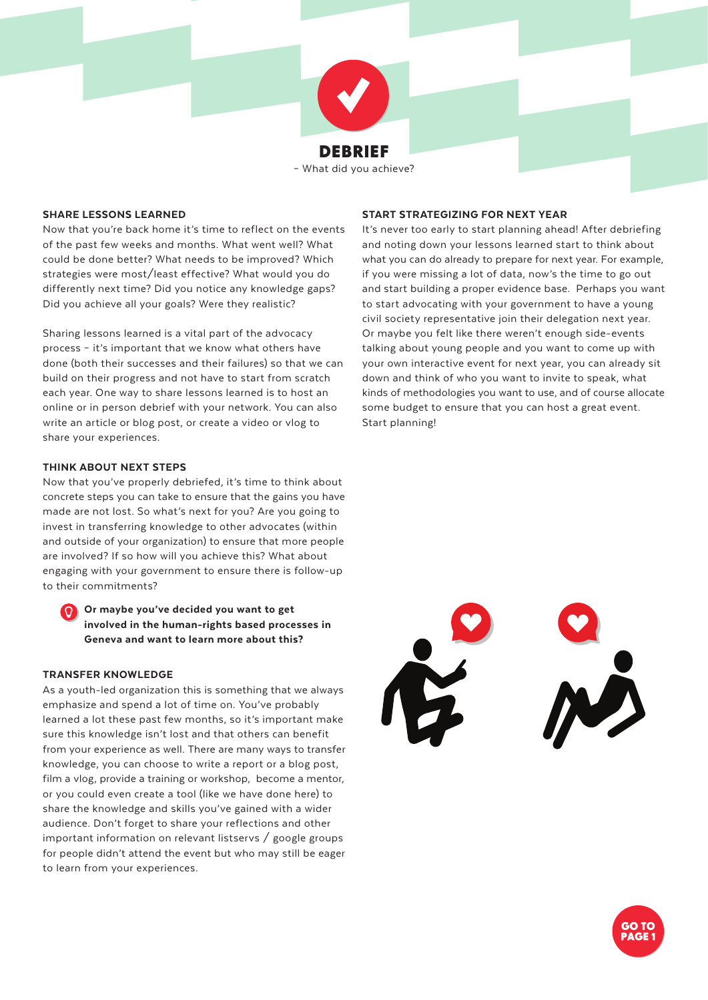

– What did you achieve?

#### SHARE LESSONS LEARNED

Now that you're back home it's time to reflect on the events of the past few weeks and months. What went well? What could be done better? What needs to be improved? Which strategies were most/least effective? What would you do differently next time? Did you notice any knowledge gaps? Did you achieve all your goals? Were they realistic?

Sharing lessons learned is a vital part of the advocacy process – it's important that we know what others have done (both their successes and their failures) so that we can build on their progress and not have to start from scratch each year. One way to share lessons learned is to host an online or in person debrief with your network. You can also write an article or blog post, or create a video or vlog to share your experiences.

## THINK ABOUT NEXT STEPS

Now that you've properly debriefed, it's time to think about concrete steps you can take to ensure that the gains you have made are not lost. So what's next for you? Are you going to invest in transferring knowledge to other advocates (within and outside of your organization) to ensure that more people are involved? If so how will you achieve this? What about engaging with your government to ensure there is follow-up to their commitments?

Or maybe you've decided you want to get involved in the human-rights based processes in Geneva and want to learn more about this?

## TRANSFER KNOWLEDGE

As a youth-led organization this is something that we always emphasize and spend a lot of time on. You've probably learned a lot these past few months, so it's important make sure this knowledge isn't lost and that others can benefit from your experience as well. There are many ways to transfer knowledge, you can choose to write a report or a blog post, film a vlog, provide a training or workshop, become a mentor, or you could even create a tool (like we have done here) to share the knowledge and skills you've gained with a wider audience. Don't forget to share your reflections and other important information on relevant listservs / google groups for people didn't attend the event but who may still be eager to learn from your experiences.

## START STRATEGIZING FOR NEXT YEAR

It's never too early to start planning ahead! After debriefing and noting down your lessons learned start to think about what you can do already to prepare for next year. For example, if you were missing a lot of data, now's the time to go out and start building a proper evidence base. Perhaps you want to start advocating with your government to have a young civil society representative join their delegation next year. Or maybe you felt like there weren't enough side-events talking about young people and you want to come up with your own interactive event for next year, you can already sit down and think of who you want to invite to speak, what kinds of methodologies you want to use, and of course allocate some budget to ensure that you can host a great event. Start planning!





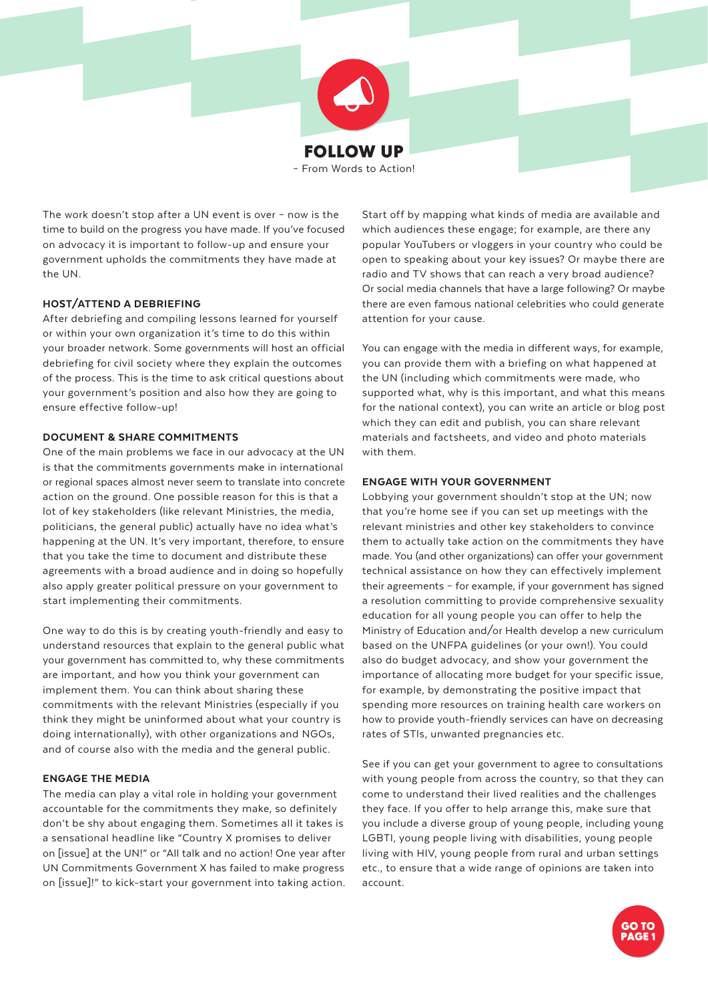

The work doesn't stop after a UN event is over – now is the time to build on the progress you have made. If you've focused on advocacy it is important to follow-up and ensure your government upholds the commitments they have made at the UN.

## HOST/ATTEND A DEBRIEFING

After debriefing and compiling lessons learned for yourself or within your own organization it's time to do this within your broader network. Some governments will host an official debriefing for civil society where they explain the outcomes of the process. This is the time to ask critical questions about your government's position and also how they are going to ensure effective follow-up!

#### DOCUMENT & SHARE COMMITMENTS

One of the main problems we face in our advocacy at the UN is that the commitments governments make in international or regional spaces almost never seem to translate into concrete action on the ground. One possible reason for this is that a lot of key stakeholders (like relevant Ministries, the media, politicians, the general public) actually have no idea what's happening at the UN. It's very important, therefore, to ensure that you take the time to document and distribute these agreements with a broad audience and in doing so hopefully also apply greater political pressure on your government to start implementing their commitments.

One way to do this is by creating youth-friendly and easy to understand resources that explain to the general public what your government has committed to, why these commitments are important, and how you think your government can implement them. You can think about sharing these commitments with the relevant Ministries (especially if you think they might be uninformed about what your country is doing internationally), with other organizations and NGOs, and of course also with the media and the general public.

#### ENGAGE THE MEDIA

The media can play a vital role in holding your government accountable for the commitments they make, so definitely don't be shy about engaging them. Sometimes all it takes is a sensational headline like "Country X promises to deliver on [issue] at the UN!" or "All talk and no action! One year after UN Commitments Government X has failed to make progress on [issue]!" to kick-start your government into taking action.

Start off by mapping what kinds of media are available and which audiences these engage; for example, are there any popular YouTubers or vloggers in your country who could be open to speaking about your key issues? Or maybe there are radio and TV shows that can reach a very broad audience? Or social media channels that have a large following? Or maybe there are even famous national celebrities who could generate attention for your cause.

You can engage with the media in different ways, for example, you can provide them with a briefing on what happened at the UN (including which commitments were made, who supported what, why is this important, and what this means for the national context), you can write an article or blog post which they can edit and publish, you can share relevant materials and factsheets, and video and photo materials with them.

#### ENGAGE WITH YOUR GOVERNMENT

Lobbying your government shouldn't stop at the UN; now that you're home see if you can set up meetings with the relevant ministries and other key stakeholders to convince them to actually take action on the commitments they have made. You (and other organizations) can offer your government technical assistance on how they can effectively implement their agreements – for example, if your government has signed a resolution committing to provide comprehensive sexuality education for all young people you can offer to help the Ministry of Education and/or Health develop a new curriculum based on the UNFPA guidelines (or your own!). You could also do budget advocacy, and show your government the importance of allocating more budget for your specific issue, for example, by demonstrating the positive impact that spending more resources on training health care workers on how to provide youth-friendly services can have on decreasing rates of STIs, unwanted pregnancies etc.

See if you can get your government to agree to consultations with young people from across the country, so that they can come to understand their lived realities and the challenges they face. If you offer to help arrange this, make sure that you include a diverse group of young people, including young LGBTI, young people living with disabilities, young people living with HIV, young people from rural and urban settings etc., to ensure that a wide range of opinions are taken into account.

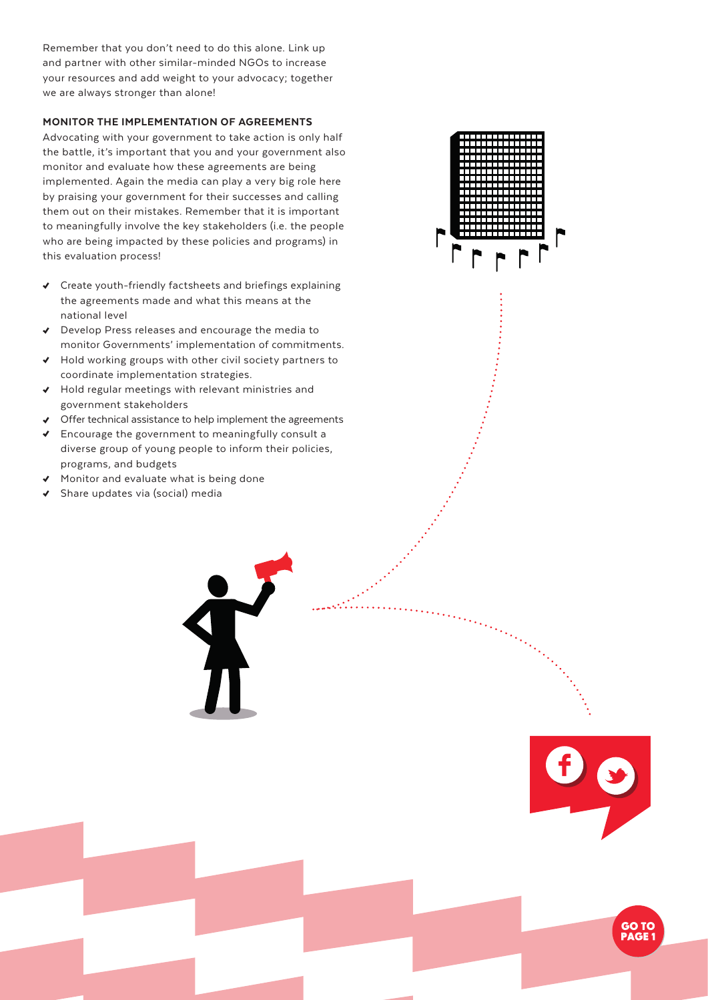Remember that you don't need to do this alone. Link up and partner with other similar-minded NGOs to increase your resources and add weight to your advocacy; together we are always stronger than alone!

## MONITOR THE IMPLEMENTATION OF AGREEMENTS

Advocating with your government to take action is only half the battle, it's important that you and your government also monitor and evaluate how these agreements are being implemented. Again the media can play a very big role here by praising your government for their successes and calling them out on their mistakes. Remember that it is important to meaningfully involve the key stakeholders (i.e. the people who are being impacted by these policies and programs) in this evaluation process!

- Create youth-friendly factsheets and briefings explaining  $\checkmark$ the agreements made and what this means at the national level
- Develop Press releases and encourage the media to monitor Governments' implementation of commitments.
- Hold working groups with other civil society partners to  $\checkmark$ coordinate implementation strategies.
- $\blacktriangleright$  Hold regular meetings with relevant ministries and government stakeholders
- Offer technical assistance to help implement the agreements
- Encourage the government to meaningfully consult a diverse group of young people to inform their policies, programs, and budgets
- Monitor and evaluate what is being done
- Share updates via (social) media